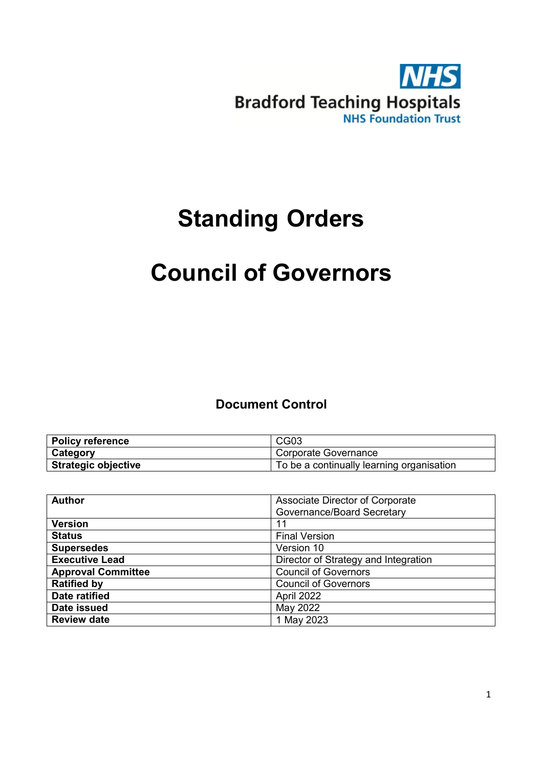

# **Standing Orders**

# **Council of Governors**

# **Document Control**

| <b>Policy reference</b>    | CG <sub>03</sub>                          |
|----------------------------|-------------------------------------------|
| <b>Category</b>            | Corporate Governance                      |
| <b>Strategic objective</b> | To be a continually learning organisation |

| <b>Author</b>             | Associate Director of Corporate      |
|---------------------------|--------------------------------------|
|                           | Governance/Board Secretary           |
| <b>Version</b>            | 11                                   |
| <b>Status</b>             | <b>Final Version</b>                 |
| <b>Supersedes</b>         | Version 10                           |
| <b>Executive Lead</b>     | Director of Strategy and Integration |
| <b>Approval Committee</b> | <b>Council of Governors</b>          |
| <b>Ratified by</b>        | <b>Council of Governors</b>          |
| Date ratified             | April 2022                           |
| Date issued               | May 2022                             |
| <b>Review date</b>        | 1 May 2023                           |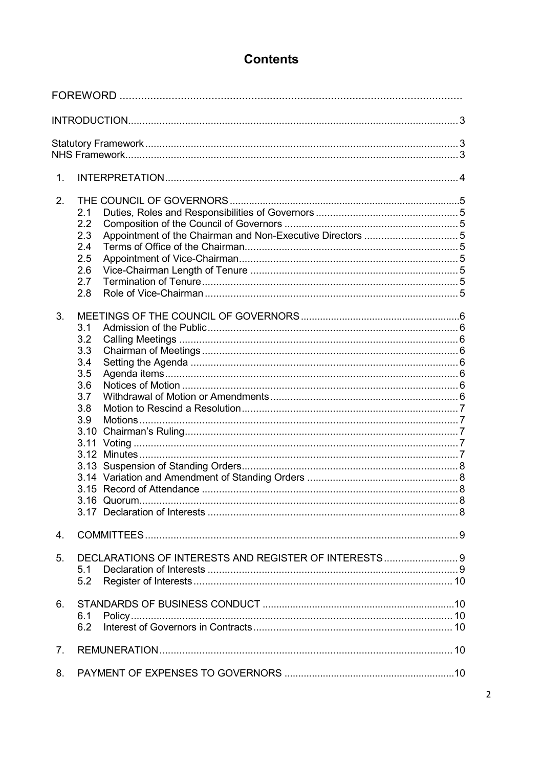# **Contents**

| 1.             |                                                       |  |
|----------------|-------------------------------------------------------|--|
| 2.             |                                                       |  |
|                | 2.1                                                   |  |
|                | 2.2                                                   |  |
|                | 2.3                                                   |  |
|                | 2.4                                                   |  |
|                | 2.5                                                   |  |
|                | 2.6                                                   |  |
|                | 2.7                                                   |  |
|                | 2.8                                                   |  |
| 3.             |                                                       |  |
|                | 3.1                                                   |  |
|                | 3.2                                                   |  |
|                | 3.3                                                   |  |
|                | 3.4                                                   |  |
|                | 3.5                                                   |  |
|                | 3.6<br>3.7                                            |  |
|                | 3.8                                                   |  |
|                | 3.9                                                   |  |
|                |                                                       |  |
|                | 3.11                                                  |  |
|                |                                                       |  |
|                |                                                       |  |
|                |                                                       |  |
|                |                                                       |  |
|                |                                                       |  |
|                |                                                       |  |
| 4.             |                                                       |  |
| 5.             | DECLARATIONS OF INTERESTS AND REGISTER OF INTERESTS 9 |  |
|                | 5.1                                                   |  |
|                | 5.2                                                   |  |
|                |                                                       |  |
| 6.             | 6.1                                                   |  |
|                | 6.2                                                   |  |
|                |                                                       |  |
| 7 <sub>1</sub> |                                                       |  |
| 8.             |                                                       |  |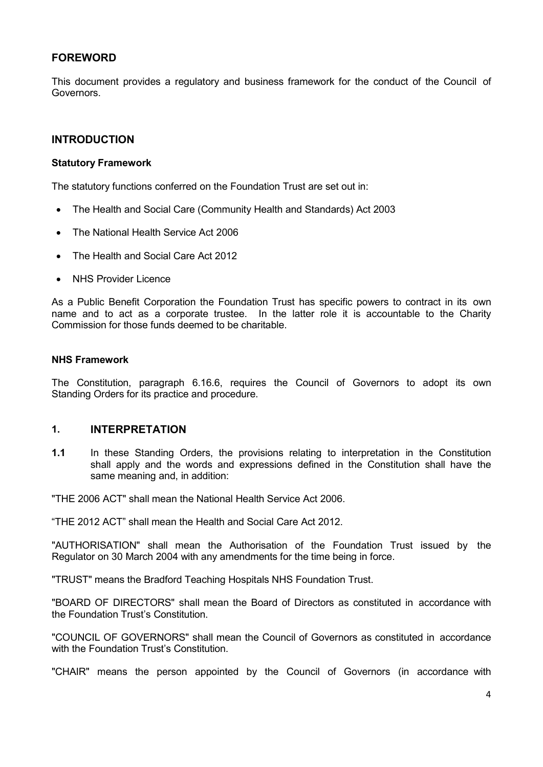# <span id="page-3-0"></span>**FOREWORD**

This document provides a regulatory and business framework for the conduct of the Council of Governors.

#### **INTRODUCTION**

#### <span id="page-3-1"></span>**Statutory Framework**

The statutory functions conferred on the Foundation Trust are set out in:

- The Health and Social Care (Community Health and Standards) Act 2003
- The National Health Service Act 2006
- The Health and Social Care Act 2012
- **NHS Provider Licence**

As a Public Benefit Corporation the Foundation Trust has specific powers to contract in its own name and to act as a corporate trustee. In the latter role it is accountable to the Charity Commission for those funds deemed to be charitable.

#### <span id="page-3-2"></span>**NHS Framework**

The Constitution, paragraph 6.16.6, requires the Council of Governors to adopt its own Standing Orders for its practice and procedure.

#### <span id="page-3-3"></span>**1. INTERPRETATION**

**1.1** In these Standing Orders, the provisions relating to interpretation in the Constitution shall apply and the words and expressions defined in the Constitution shall have the same meaning and, in addition:

"THE 2006 ACT" shall mean the National Health Service Act 2006.

"THE 2012 ACT" shall mean the Health and Social Care Act 2012.

"AUTHORISATION" shall mean the Authorisation of the Foundation Trust issued by the Regulator on 30 March 2004 with any amendments for the time being in force.

"TRUST" means the Bradford Teaching Hospitals NHS Foundation Trust.

"BOARD OF DIRECTORS" shall mean the Board of Directors as constituted in accordance with the Foundation Trust's Constitution.

"COUNCIL OF GOVERNORS" shall mean the Council of Governors as constituted in accordance with the Foundation Trust's Constitution.

"CHAIR" means the person appointed by the Council of Governors (in accordance with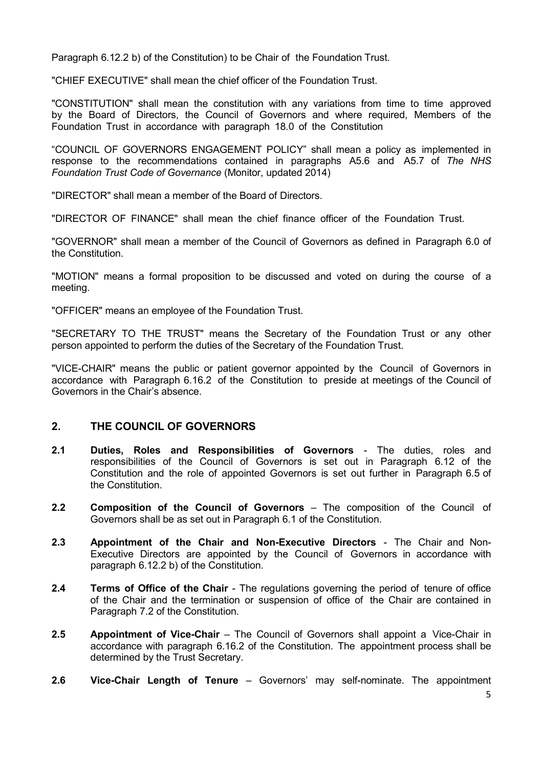Paragraph 6.12.2 b) of the Constitution) to be Chair of the Foundation Trust.

"CHIEF EXECUTIVE" shall mean the chief officer of the Foundation Trust.

"CONSTITUTION" shall mean the constitution with any variations from time to time approved by the Board of Directors, the Council of Governors and where required, Members of the Foundation Trust in accordance with paragraph 18.0 of the Constitution

"COUNCIL OF GOVERNORS ENGAGEMENT POLICY" shall mean a policy as implemented in response to the recommendations contained in paragraphs A5.6 and A5.7 of *The NHS Foundation Trust Code of Governance* (Monitor, updated 2014)

"DIRECTOR" shall mean a member of the Board of Directors.

"DIRECTOR OF FINANCE" shall mean the chief finance officer of the Foundation Trust.

"GOVERNOR" shall mean a member of the Council of Governors as defined in Paragraph 6.0 of the Constitution.

"MOTION" means a formal proposition to be discussed and voted on during the course of a meeting.

"OFFICER" means an employee of the Foundation Trust.

"SECRETARY TO THE TRUST" means the Secretary of the Foundation Trust or any other person appointed to perform the duties of the Secretary of the Foundation Trust.

"VICE-CHAIR" means the public or patient governor appointed by the Council of Governors in accordance with Paragraph 6.16.2 of the Constitution to preside at meetings of the Council of Governors in the Chair's absence.

## <span id="page-4-0"></span>**2. THE COUNCIL OF GOVERNORS**

- <span id="page-4-1"></span>**2.1 Duties, Roles and Responsibilities of Governors** - The duties, roles and responsibilities of the Council of Governors is set out in Paragraph 6.12 of the Constitution and the role of appointed Governors is set out further in Paragraph 6.5 of the Constitution.
- <span id="page-4-2"></span>**2.2 Composition of the Council of Governors** – The composition of the Council of Governors shall be as set out in Paragraph 6.1 of the Constitution.
- <span id="page-4-3"></span>**2.3 Appointment of the Chair and Non-Executive Directors** - The Chair and Non-Executive Directors are appointed by the Council of Governors in accordance with paragraph 6.12.2 b) of the Constitution.
- <span id="page-4-4"></span>**2.4 Terms of Office of the Chair** - The regulations governing the period of tenure of office of the Chair and the termination or suspension of office of the Chair are contained in Paragraph 7.2 of the Constitution.
- <span id="page-4-5"></span>**2.5 Appointment of Vice-Chair** – The Council of Governors shall appoint a Vice-Chair in accordance with paragraph 6.16.2 of the Constitution. The appointment process shall be determined by the Trust Secretary.
- **2.6 Vice-Chair Length of Tenure** Governors' may self-nominate. The appointment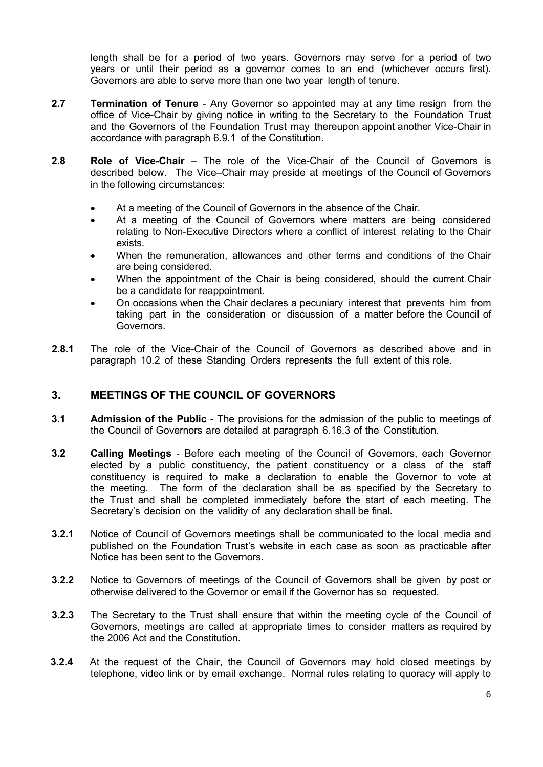length shall be for a period of two years. Governors may serve for a period of two years or until their period as a governor comes to an end (whichever occurs first). Governors are able to serve more than one two year length of tenure.

- **2.7 Termination of Tenure** Any Governor so appointed may at any time resign from the office of Vice-Chair by giving notice in writing to the Secretary to the Foundation Trust and the Governors of the Foundation Trust may thereupon appoint another Vice-Chair in accordance with paragraph 6.9.1 of the Constitution.
- <span id="page-5-0"></span>**2.8 Role of Vice-Chair** – The role of the Vice-Chair of the Council of Governors is described below. The Vice–Chair may preside at meetings of the Council of Governors in the following circumstances:
	- At a meeting of the Council of Governors in the absence of the Chair.
	- At a meeting of the Council of Governors where matters are being considered relating to Non-Executive Directors where a conflict of interest relating to the Chair exists.
	- When the remuneration, allowances and other terms and conditions of the Chair are being considered.
	- When the appointment of the Chair is being considered, should the current Chair be a candidate for reappointment.
	- On occasions when the Chair declares a pecuniary interest that prevents him from taking part in the consideration or discussion of a matter before the Council of Governors.
- **2.8.1** The role of the Vice-Chair of the Council of Governors as described above and in paragraph 10.2 of these Standing Orders represents the full extent of this role.

# <span id="page-5-1"></span>**3. MEETINGS OF THE COUNCIL OF GOVERNORS**

- <span id="page-5-2"></span>**3.1 Admission of the Public** - The provisions for the admission of the public to meetings of the Council of Governors are detailed at paragraph 6.16.3 of the Constitution.
- <span id="page-5-3"></span>**3.2 Calling Meetings** - Before each meeting of the Council of Governors, each Governor elected by a public constituency, the patient constituency or a class of the staff constituency is required to make a declaration to enable the Governor to vote at the meeting. The form of the declaration shall be as specified by the Secretary to the Trust and shall be completed immediately before the start of each meeting. The Secretary's decision on the validity of any declaration shall be final.
- **3.2.1** Notice of Council of Governors meetings shall be communicated to the local media and published on the Foundation Trust's website in each case as soon as practicable after Notice has been sent to the Governors.
- **3.2.2** Notice to Governors of meetings of the Council of Governors shall be given by post or otherwise delivered to the Governor or email if the Governor has so requested.
- **3.2.3** The Secretary to the Trust shall ensure that within the meeting cycle of the Council of Governors, meetings are called at appropriate times to consider matters as required by the 2006 Act and the Constitution.
- **3.2.4** At the request of the Chair, the Council of Governors may hold closed meetings by telephone, video link or by email exchange. Normal rules relating to quoracy will apply to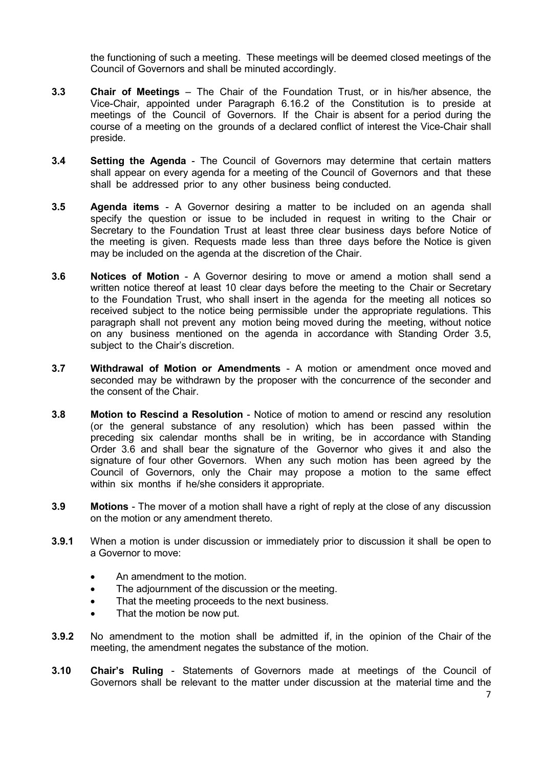the functioning of such a meeting. These meetings will be deemed closed meetings of the Council of Governors and shall be minuted accordingly.

- <span id="page-6-0"></span>**3.3 Chair of Meetings** – The Chair of the Foundation Trust, or in his/her absence, the Vice-Chair, appointed under Paragraph 6.16.2 of the Constitution is to preside at meetings of the Council of Governors. If the Chair is absent for a period during the course of a meeting on the grounds of a declared conflict of interest the Vice-Chair shall preside.
- <span id="page-6-1"></span>**3.4 Setting the Agenda** - The Council of Governors may determine that certain matters shall appear on every agenda for a meeting of the Council of Governors and that these shall be addressed prior to any other business being conducted.
- <span id="page-6-2"></span>**3.5 Agenda items** - A Governor desiring a matter to be included on an agenda shall specify the question or issue to be included in request in writing to the Chair or Secretary to the Foundation Trust at least three clear business days before Notice of the meeting is given. Requests made less than three days before the Notice is given may be included on the agenda at the discretion of the Chair.
- <span id="page-6-3"></span>**3.6 Notices of Motion** - A Governor desiring to move or amend a motion shall send a written notice thereof at least 10 clear days before the meeting to the Chair or Secretary to the Foundation Trust, who shall insert in the agenda for the meeting all notices so received subject to the notice being permissible under the appropriate regulations. This paragraph shall not prevent any motion being moved during the meeting, without notice on any business mentioned on the agenda in accordance with Standing Order 3.5, subject to the Chair's discretion.
- <span id="page-6-4"></span>**3.7 Withdrawal of Motion or Amendments** - A motion or amendment once moved and seconded may be withdrawn by the proposer with the concurrence of the seconder and the consent of the Chair.
- <span id="page-6-5"></span>**3.8 Motion to Rescind a Resolution** - Notice of motion to amend or rescind any resolution (or the general substance of any resolution) which has been passed within the preceding six calendar months shall be in writing, be in accordance with Standing Order 3.6 and shall bear the signature of the Governor who gives it and also the signature of four other Governors. When any such motion has been agreed by the Council of Governors, only the Chair may propose a motion to the same effect within six months if he/she considers it appropriate.
- <span id="page-6-6"></span>**3.9 Motions** - The mover of a motion shall have a right of reply at the close of any discussion on the motion or any amendment thereto.
- **3.9.1** When a motion is under discussion or immediately prior to discussion it shall be open to a Governor to move:
	- An amendment to the motion.
	- The adjournment of the discussion or the meeting.
	- That the meeting proceeds to the next business.
	- That the motion be now put.
- **3.9.2** No amendment to the motion shall be admitted if, in the opinion of the Chair of the meeting, the amendment negates the substance of the motion.
- <span id="page-6-7"></span>**3.10 Chair's Ruling** - Statements of Governors made at meetings of the Council of Governors shall be relevant to the matter under discussion at the material time and the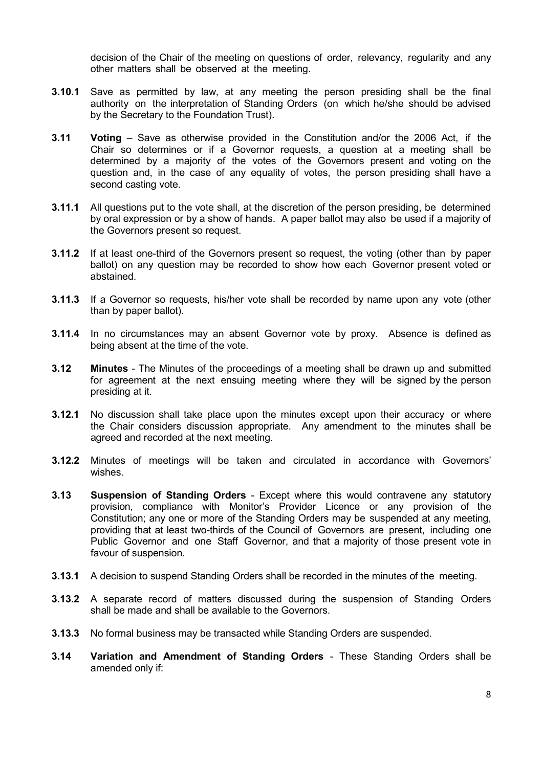decision of the Chair of the meeting on questions of order, relevancy, regularity and any other matters shall be observed at the meeting.

- **3.10.1** Save as permitted by law, at any meeting the person presiding shall be the final authority on the interpretation of Standing Orders (on which he/she should be advised by the Secretary to the Foundation Trust).
- <span id="page-7-0"></span>**3.11 Voting** – Save as otherwise provided in the Constitution and/or the 2006 Act, if the Chair so determines or if a Governor requests, a question at a meeting shall be determined by a majority of the votes of the Governors present and voting on the question and, in the case of any equality of votes, the person presiding shall have a second casting vote.
- **3.11.1** All questions put to the vote shall, at the discretion of the person presiding, be determined by oral expression or by a show of hands. A paper ballot may also be used if a majority of the Governors present so request.
- **3.11.2** If at least one-third of the Governors present so request, the voting (other than by paper ballot) on any question may be recorded to show how each Governor present voted or abstained.
- **3.11.3** If a Governor so requests, his/her vote shall be recorded by name upon any vote (other than by paper ballot).
- **3.11.4** In no circumstances may an absent Governor vote by proxy. Absence is defined as being absent at the time of the vote.
- <span id="page-7-1"></span>**3.12 Minutes** - The Minutes of the proceedings of a meeting shall be drawn up and submitted for agreement at the next ensuing meeting where they will be signed by the person presiding at it.
- **3.12.1** No discussion shall take place upon the minutes except upon their accuracy or where the Chair considers discussion appropriate. Any amendment to the minutes shall be agreed and recorded at the next meeting.
- **3.12.2** Minutes of meetings will be taken and circulated in accordance with Governors' wishes.
- <span id="page-7-2"></span>**3.13 Suspension of Standing Orders** - Except where this would contravene any statutory provision, compliance with Monitor's Provider Licence or any provision of the Constitution; any one or more of the Standing Orders may be suspended at any meeting, providing that at least two-thirds of the Council of Governors are present, including one Public Governor and one Staff Governor, and that a majority of those present vote in favour of suspension.
- **3.13.1** A decision to suspend Standing Orders shall be recorded in the minutes of the meeting.
- **3.13.2** A separate record of matters discussed during the suspension of Standing Orders shall be made and shall be available to the Governors.
- **3.13.3** No formal business may be transacted while Standing Orders are suspended.
- <span id="page-7-3"></span>**3.14 Variation and Amendment of Standing Orders** - These Standing Orders shall be amended only if: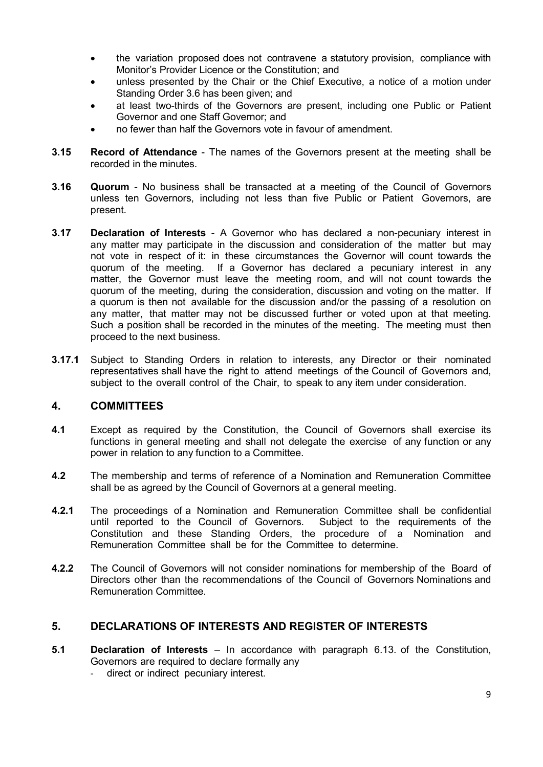- the variation proposed does not contravene a statutory provision, compliance with Monitor's Provider Licence or the Constitution; and
- unless presented by the Chair or the Chief Executive, a notice of a motion under Standing Order 3.6 has been given; and
- at least two-thirds of the Governors are present, including one Public or Patient Governor and one Staff Governor; and
- no fewer than half the Governors vote in favour of amendment.
- <span id="page-8-0"></span>**3.15 Record of Attendance** - The names of the Governors present at the meeting shall be recorded in the minutes.
- <span id="page-8-1"></span>**3.16 Quorum** - No business shall be transacted at a meeting of the Council of Governors unless ten Governors, including not less than five Public or Patient Governors, are present.
- <span id="page-8-2"></span>**3.17 Declaration of Interests** - A Governor who has declared a non-pecuniary interest in any matter may participate in the discussion and consideration of the matter but may not vote in respect of it: in these circumstances the Governor will count towards the quorum of the meeting. If a Governor has declared a pecuniary interest in any matter, the Governor must leave the meeting room, and will not count towards the quorum of the meeting, during the consideration, discussion and voting on the matter. If a quorum is then not available for the discussion and/or the passing of a resolution on any matter, that matter may not be discussed further or voted upon at that meeting. Such a position shall be recorded in the minutes of the meeting. The meeting must then proceed to the next business.
- **3.17.1** Subject to Standing Orders in relation to interests, any Director or their nominated representatives shall have the right to attend meetings of the Council of Governors and, subject to the overall control of the Chair, to speak to any item under consideration.

## <span id="page-8-3"></span>**4. COMMITTEES**

- **4.1** Except as required by the Constitution, the Council of Governors shall exercise its functions in general meeting and shall not delegate the exercise of any function or any power in relation to any function to a Committee.
- **4.2** The membership and terms of reference of a Nomination and Remuneration Committee shall be as agreed by the Council of Governors at a general meeting.
- **4.2.1** The proceedings of a Nomination and Remuneration Committee shall be confidential until reported to the Council of Governors. Subject to the requirements of the Constitution and these Standing Orders, the procedure of a Nomination and Remuneration Committee shall be for the Committee to determine.
- **4.2.2** The Council of Governors will not consider nominations for membership of the Board of Directors other than the recommendations of the Council of Governors Nominations and Remuneration Committee.

## <span id="page-8-4"></span>**5. DECLARATIONS OF INTERESTS AND REGISTER OF INTERESTS**

- <span id="page-8-5"></span>**5.1 Declaration of Interests** – In accordance with paragraph 6.13. of the Constitution, Governors are required to declare formally any
	- direct or indirect pecuniary interest.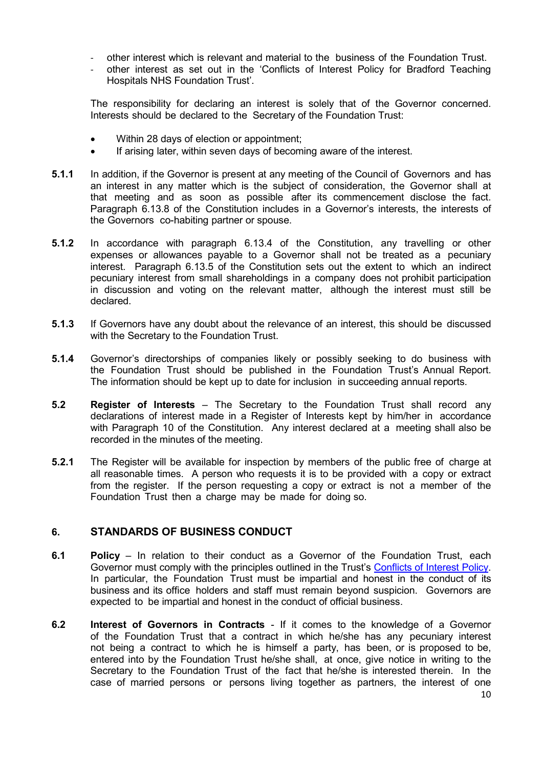- other interest which is relevant and material to the business of the Foundation Trust.
- other interest as set out in the 'Conflicts of Interest Policy for Bradford Teaching Hospitals NHS Foundation Trust'.

The responsibility for declaring an interest is solely that of the Governor concerned. Interests should be declared to the Secretary of the Foundation Trust:

- Within 28 days of election or appointment;
- If arising later, within seven days of becoming aware of the interest.
- **5.1.1** In addition, if the Governor is present at any meeting of the Council of Governors and has an interest in any matter which is the subject of consideration, the Governor shall at that meeting and as soon as possible after its commencement disclose the fact. Paragraph 6.13.8 of the Constitution includes in a Governor's interests, the interests of the Governors co-habiting partner or spouse.
- **5.1.2** In accordance with paragraph 6.13.4 of the Constitution, any travelling or other expenses or allowances payable to a Governor shall not be treated as a pecuniary interest. Paragraph 6.13.5 of the Constitution sets out the extent to which an indirect pecuniary interest from small shareholdings in a company does not prohibit participation in discussion and voting on the relevant matter, although the interest must still be declared.
- **5.1.3** If Governors have any doubt about the relevance of an interest, this should be discussed with the Secretary to the Foundation Trust.
- **5.1.4** Governor's directorships of companies likely or possibly seeking to do business with the Foundation Trust should be published in the Foundation Trust's Annual Report. The information should be kept up to date for inclusion in succeeding annual reports.
- <span id="page-9-0"></span>**5.2 Register of Interests** – The Secretary to the Foundation Trust shall record any declarations of interest made in a Register of Interests kept by him/her in accordance with Paragraph 10 of the Constitution. Any interest declared at a meeting shall also be recorded in the minutes of the meeting.
- **5.2.1** The Register will be available for inspection by members of the public free of charge at all reasonable times. A person who requests it is to be provided with a copy or extract from the register. If the person requesting a copy or extract is not a member of the Foundation Trust then a charge may be made for doing so.

#### <span id="page-9-1"></span>**6. STANDARDS OF BUSINESS CONDUCT**

- <span id="page-9-2"></span>**6.1 Policy** – In relation to their conduct as a Governor of the Foundation Trust, each Governor must comply with the principles outlined in the Trust's [Conflicts of Interest Policy.](https://www.bradfordhospitals.nhs.uk/wp-content/uploads/2021/08/CG07-2020-Conflicts-of-Interest-Policy.pdf) In particular, the Foundation Trust must be impartial and honest in the conduct of its business and its office holders and staff must remain beyond suspicion. Governors are expected to be impartial and honest in the conduct of official business.
- <span id="page-9-3"></span>**6.2 Interest of Governors in Contracts** - If it comes to the knowledge of a Governor of the Foundation Trust that a contract in which he/she has any pecuniary interest not being a contract to which he is himself a party, has been, or is proposed to be, entered into by the Foundation Trust he/she shall, at once, give notice in writing to the Secretary to the Foundation Trust of the fact that he/she is interested therein. In the case of married persons or persons living together as partners, the interest of one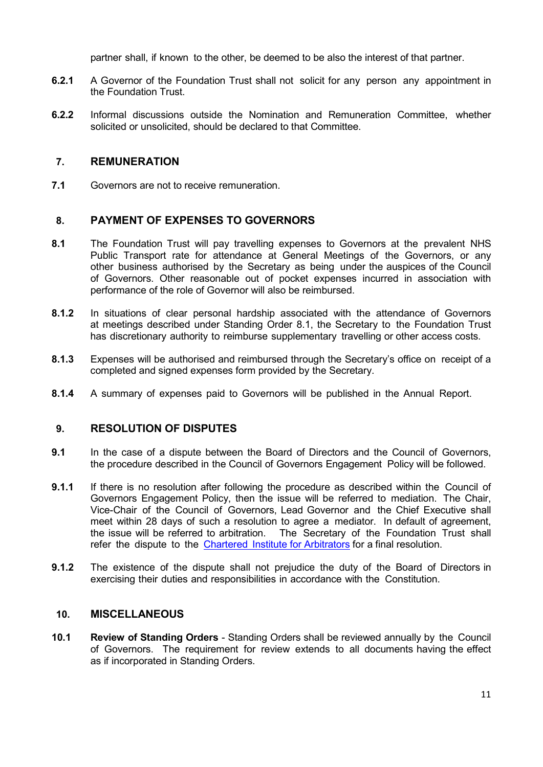partner shall, if known to the other, be deemed to be also the interest of that partner.

- **6.2.1** A Governor of the Foundation Trust shall not solicit for any person any appointment in the Foundation Trust.
- **6.2.2** Informal discussions outside the Nomination and Remuneration Committee, whether solicited or unsolicited, should be declared to that Committee.

## <span id="page-10-0"></span>**7. REMUNERATION**

**7.1** Governors are not to receive remuneration.

## <span id="page-10-1"></span>**8. PAYMENT OF EXPENSES TO GOVERNORS**

- **8.1** The Foundation Trust will pay travelling expenses to Governors at the prevalent NHS Public Transport rate for attendance at General Meetings of the Governors, or any other business authorised by the Secretary as being under the auspices of the Council of Governors. Other reasonable out of pocket expenses incurred in association with performance of the role of Governor will also be reimbursed.
- **8.1.2** In situations of clear personal hardship associated with the attendance of Governors at meetings described under Standing Order 8.1, the Secretary to the Foundation Trust has discretionary authority to reimburse supplementary travelling or other access costs.
- **8.1.3** Expenses will be authorised and reimbursed through the Secretary's office on receipt of a completed and signed expenses form provided by the Secretary.
- **8.1.4** A summary of expenses paid to Governors will be published in the Annual Report.

## <span id="page-10-2"></span>**9. RESOLUTION OF DISPUTES**

- **9.1** In the case of a dispute between the Board of Directors and the Council of Governors, the procedure described in the Council of Governors Engagement Policy will be followed.
- **9.1.1** If there is no resolution after following the procedure as described within the Council of Governors Engagement Policy, then the issue will be referred to mediation. The Chair, Vice-Chair of the Council of Governors, Lead Governor and the Chief Executive shall meet within 28 days of such a resolution to agree a mediator. In default of agreement, the issue will be referred to arbitration. The Secretary of the Foundation Trust shall refer the dispute to the Chartered Institute for [Arbitrators](https://www.ciarb.org/) for a final resolution.
- **9.1.2** The existence of the dispute shall not prejudice the duty of the Board of Directors in exercising their duties and responsibilities in accordance with the Constitution.

#### <span id="page-10-3"></span>**10. MISCELLANEOUS**

<span id="page-10-4"></span>**10.1 Review of Standing Orders** - Standing Orders shall be reviewed annually by the Council of Governors. The requirement for review extends to all documents having the effect as if incorporated in Standing Orders.